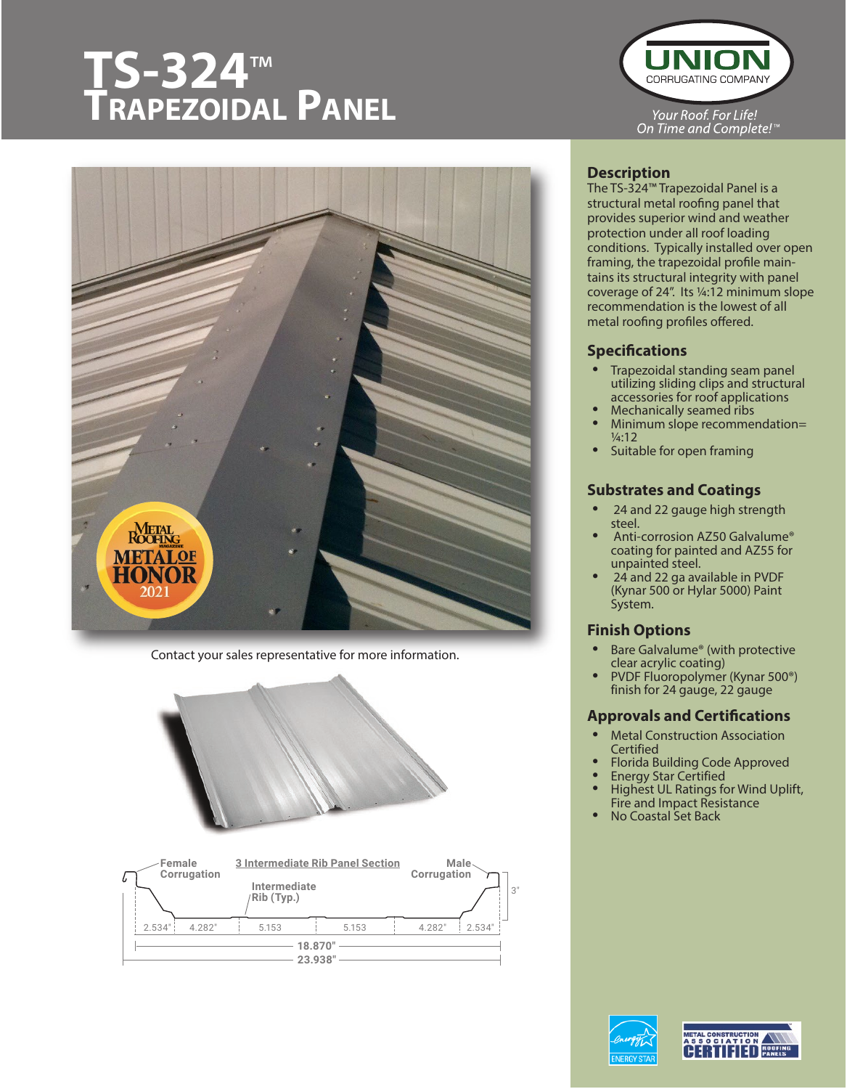# **TS-324™** TRAPEZOIDAL PANEL



Contact your sales representative for more information.







### **Description**

The TS-324™ Trapezoidal Panel is a structural metal roofing panel that provides superior wind and weather protection under all roof loading conditions. Typically installed over open framing, the trapezoidal profile maintains its structural integrity with panel coverage of 24". Its ¼:12 minimum slope recommendation is the lowest of all metal roofing profiles offered.

#### **Specifications**

- Trapezoidal standing seam panel utilizing sliding clips and structural accessories for roof applications • Mechanically seamed ribs
- 
- Minimum slope recommendation=  $1/4.12$
- Suitable for open framing

#### **Substrates and Coatings**

- 24 and 22 gauge high strength steel.
- Anti-corrosion AZ50 Galvalume® coating for painted and AZ55 for unpainted steel.
- 24 and 22 ga available in PVDF (Kynar 500 or Hylar 5000) Paint System.

## **Finish Options**

- Bare Galvalume<sup>®</sup> (with protective clear acrylic coating)
- PVDF Fluoropolymer (Kynar 500<sup>®</sup>) finish for 24 gauge, 22 gauge

#### **Approvals and Certifications**

- Metal Construction Association **Certified**
- Florida Building Code Approved
- Energy Star Certified
- Highest UL Ratings for Wind Uplift, Fire and Impact Resistance
- No Coastal Set Back